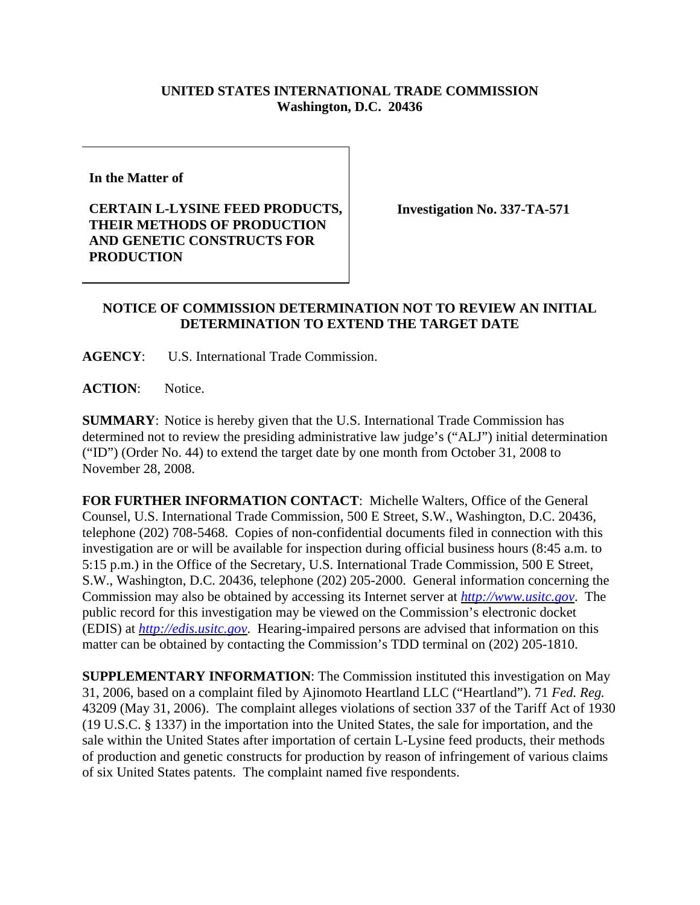## **UNITED STATES INTERNATIONAL TRADE COMMISSION Washington, D.C. 20436**

**In the Matter of** 

## **CERTAIN L-LYSINE FEED PRODUCTS, THEIR METHODS OF PRODUCTION AND GENETIC CONSTRUCTS FOR PRODUCTION**

**Investigation No. 337-TA-571**

## **NOTICE OF COMMISSION DETERMINATION NOT TO REVIEW AN INITIAL DETERMINATION TO EXTEND THE TARGET DATE**

**AGENCY**: U.S. International Trade Commission.

ACTION: Notice.

**SUMMARY**: Notice is hereby given that the U.S. International Trade Commission has determined not to review the presiding administrative law judge's ("ALJ") initial determination ("ID") (Order No. 44) to extend the target date by one month from October 31, 2008 to November 28, 2008.

**FOR FURTHER INFORMATION CONTACT**: Michelle Walters, Office of the General Counsel, U.S. International Trade Commission, 500 E Street, S.W., Washington, D.C. 20436, telephone (202) 708-5468. Copies of non-confidential documents filed in connection with this investigation are or will be available for inspection during official business hours (8:45 a.m. to 5:15 p.m.) in the Office of the Secretary, U.S. International Trade Commission, 500 E Street, S.W., Washington, D.C. 20436, telephone (202) 205-2000. General information concerning the Commission may also be obtained by accessing its Internet server at *http://www.usitc.gov*. The public record for this investigation may be viewed on the Commission's electronic docket (EDIS) at *http://edis.usitc.gov*. Hearing-impaired persons are advised that information on this matter can be obtained by contacting the Commission's TDD terminal on (202) 205-1810.

**SUPPLEMENTARY INFORMATION**: The Commission instituted this investigation on May 31, 2006, based on a complaint filed by Ajinomoto Heartland LLC ("Heartland"). 71 *Fed. Reg.* 43209 (May 31, 2006). The complaint alleges violations of section 337 of the Tariff Act of 1930 (19 U.S.C. § 1337) in the importation into the United States, the sale for importation, and the sale within the United States after importation of certain L-Lysine feed products, their methods of production and genetic constructs for production by reason of infringement of various claims of six United States patents. The complaint named five respondents.